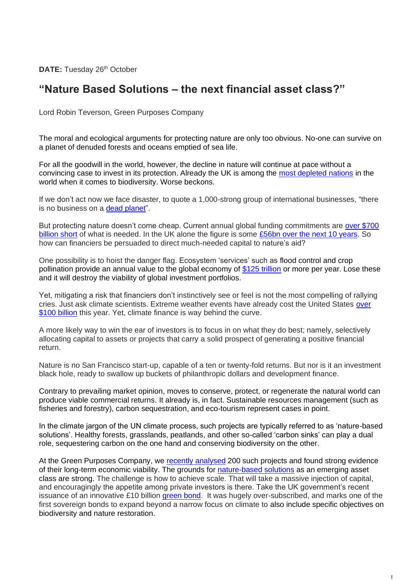**DATE:** Tuesday 26<sup>th</sup> October

## **"Nature Based Solutions – the next financial asset class?"**

Lord Robin Teverson, Green Purposes Company

The moral and ecological arguments for protecting nature are only too obvious. No-one can survive on a planet of denuded forests and oceans emptied of sea life.

For all the goodwill in the world, however, the decline in nature will continue at pace without a convincing case to invest in its protection. Already the UK is among the [most depleted nations](https://www.nhm.ac.uk/press-office/press-releases/natural-history-museum-reveals-the-world-has-crashed-through-the.html) in the world when it comes to biodiversity. Worse beckons.

If we don't act now we face disaster, to quote a 1,000-strong group of international businesses, "there is no business on a [dead planet"](https://www.businessfornature.org/recommendations).

But protecting nature doesn't come cheap. Current annual global funding commitments are [over \\$700](https://www.paulsoninstitute.org/key-initiatives/financing-nature-report/)  [billion short](https://www.paulsoninstitute.org/key-initiatives/financing-nature-report/) of what is needed. In the UK alone the figure is some  $£56$ bn over the next 10 years. So how can financiers be persuaded to direct much-needed capital to nature's aid?

One possibility is to hoist the danger flag. Ecosystem 'services' such as flood control and crop pollination provide an annual value to the global economy of [\\$125 trillion](https://nature4climate.org/ecosystem-services-and-green-infrastructure/#:~:text=in%20a%20marketplace.-,The%20most%20comprehensive%20global%20estimate%20suggests%20that%20ecosystem%20services%20provide,the%20size%20of%20global%20GDP.) or more per year. Lose these and it will destroy the viability of global investment portfolios.

Yet, mitigating a risk that financiers don't instinctively see or feel is not the most compelling of rallying cries. Just ask climate scientists. Extreme weather events have already cost the United States [over](https://www.ncdc.noaa.gov/billions/)  [\\$100 billion](https://www.ncdc.noaa.gov/billions/) this year. Yet, climate finance is way behind the curve.

A more likely way to win the ear of investors is to focus in on what they do best; namely, selectively allocating capital to assets or projects that carry a solid prospect of generating a positive financial return.

Nature is no San Francisco start-up, capable of a ten or twenty-fold returns. But nor is it an investment black hole, ready to swallow up buckets of philanthropic dollars and development finance.

Contrary to prevailing market opinion, moves to conserve, protect, or regenerate the natural world can produce viable commercial returns. It already is, in fact. Sustainable resources management (such as fisheries and forestry), carbon sequestration, and eco-tourism represent cases in point.

In the climate jargon of the UN climate process, such projects are typically referred to as 'nature-based solutions'. Healthy forests, grasslands, peatlands, and other so-called 'carbon sinks' can play a dual role, sequestering carbon on the one hand and conserving biodiversity on the other.

At the Green Purposes Company, we recently [analysed](https://www.greenpurposescompany.com/pdfs/topic%20reports/Finance%20Earth%20GPC%20-%20Market%20Review%20of%20NbS%20Report%20-%20May%202021.pdf) 200 such projects and found strong evidence of their long-term economic viability. The grounds for [nature-based solutions](https://www.naturebasedsolutionsinitiative.org/what-are-nature-based-solutions/) as an emerging asset class are strong. The challenge is how to achieve scale. That will take a massive injection of capital, and encouragingly the appetite among private investors is there. Take the UK government's recent issuance of an innovative £10 billion [green bond.](https://www.gov.uk/government/news/uks-first-green-gilt-raises-10-billion-for-green-projects#:~:text=%C2%A310%20billion%20was%20raised,issuance%20later%20in%20the%20year) It was hugely over-subscribed, and marks one of the first sovereign bonds to expand beyond a narrow focus on climate to also include specific objectives on biodiversity and nature restoration.